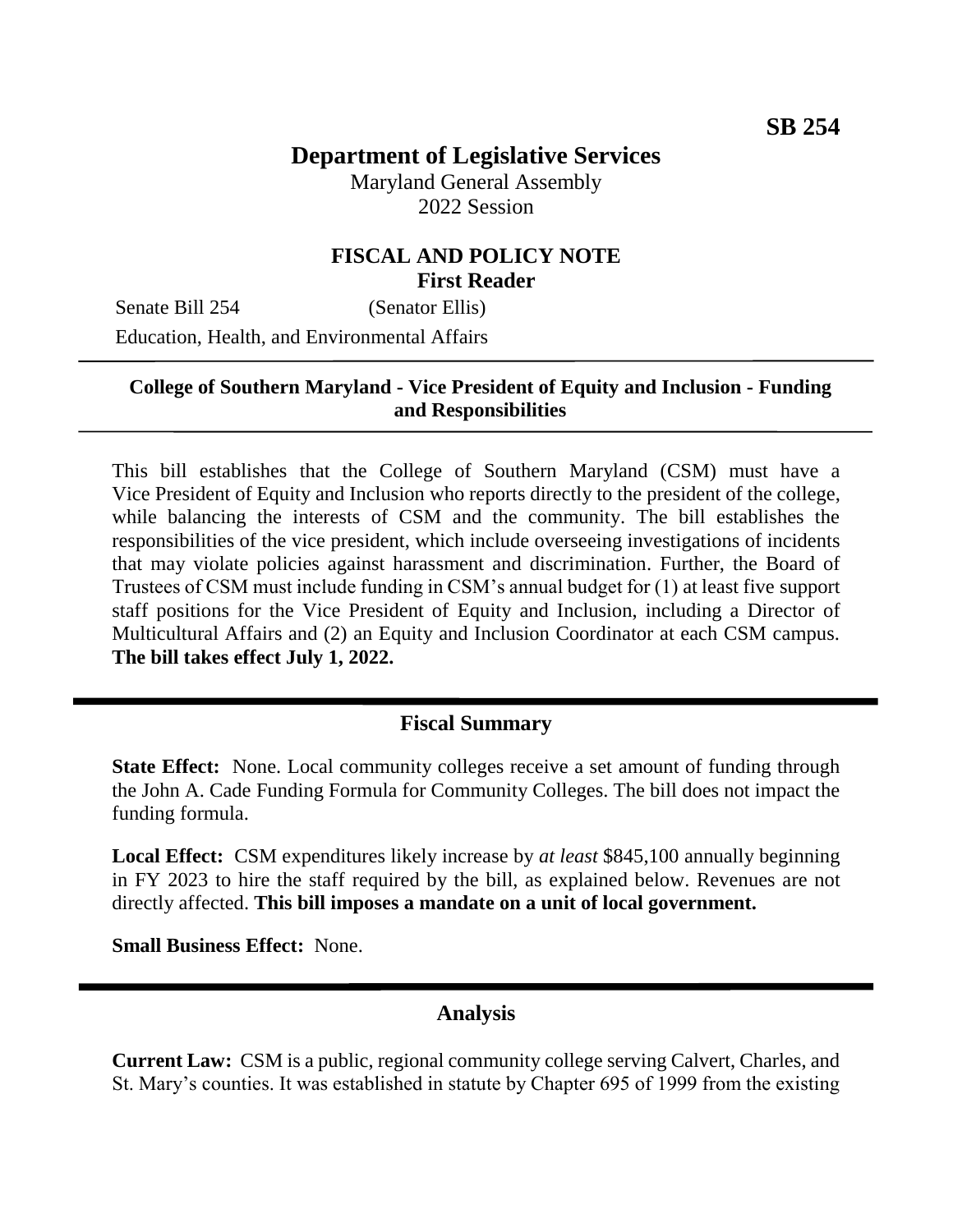# **Department of Legislative Services**

Maryland General Assembly 2022 Session

## **FISCAL AND POLICY NOTE First Reader**

Senate Bill 254 (Senator Ellis) Education, Health, and Environmental Affairs

## **College of Southern Maryland - Vice President of Equity and Inclusion - Funding and Responsibilities**

This bill establishes that the College of Southern Maryland (CSM) must have a Vice President of Equity and Inclusion who reports directly to the president of the college, while balancing the interests of CSM and the community. The bill establishes the responsibilities of the vice president, which include overseeing investigations of incidents that may violate policies against harassment and discrimination. Further, the Board of Trustees of CSM must include funding in CSM's annual budget for (1) at least five support staff positions for the Vice President of Equity and Inclusion, including a Director of Multicultural Affairs and (2) an Equity and Inclusion Coordinator at each CSM campus. **The bill takes effect July 1, 2022.**

#### **Fiscal Summary**

**State Effect:** None. Local community colleges receive a set amount of funding through the John A. Cade Funding Formula for Community Colleges. The bill does not impact the funding formula.

**Local Effect:** CSM expenditures likely increase by *at least* \$845,100 annually beginning in FY 2023 to hire the staff required by the bill, as explained below. Revenues are not directly affected. **This bill imposes a mandate on a unit of local government.**

**Small Business Effect:** None.

## **Analysis**

**Current Law:** CSM is a public, regional community college serving Calvert, Charles, and St. Mary's counties. It was established in statute by Chapter 695 of 1999 from the existing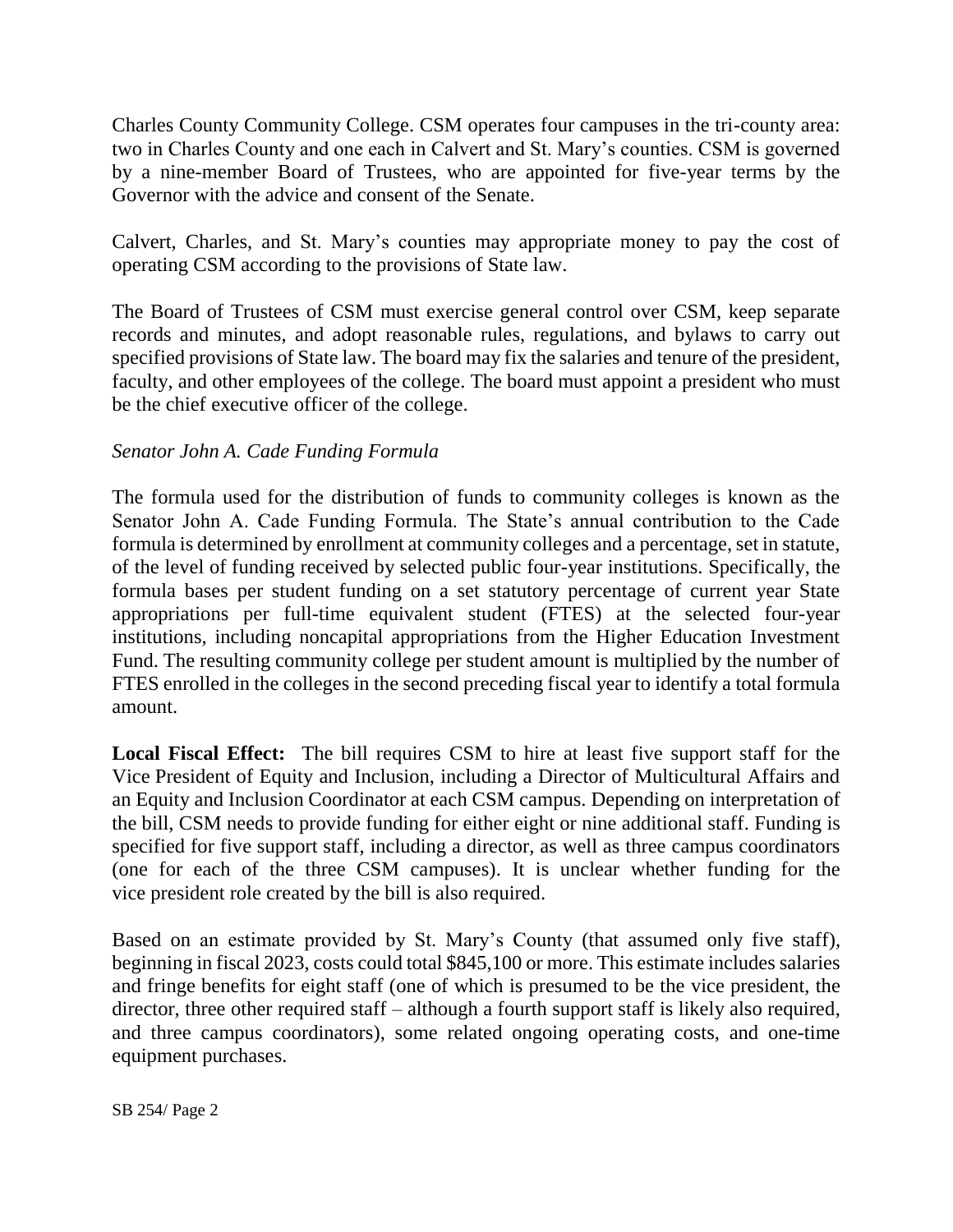Charles County Community College. CSM operates four campuses in the tri-county area: two in Charles County and one each in Calvert and St. Mary's counties. CSM is governed by a nine-member Board of Trustees, who are appointed for five-year terms by the Governor with the advice and consent of the Senate.

Calvert, Charles, and St. Mary's counties may appropriate money to pay the cost of operating CSM according to the provisions of State law.

The Board of Trustees of CSM must exercise general control over CSM, keep separate records and minutes, and adopt reasonable rules, regulations, and bylaws to carry out specified provisions of State law. The board may fix the salaries and tenure of the president, faculty, and other employees of the college. The board must appoint a president who must be the chief executive officer of the college.

## *Senator John A. Cade Funding Formula*

The formula used for the distribution of funds to community colleges is known as the Senator John A. Cade Funding Formula. The State's annual contribution to the Cade formula is determined by enrollment at community colleges and a percentage, set in statute, of the level of funding received by selected public four-year institutions. Specifically, the formula bases per student funding on a set statutory percentage of current year State appropriations per full-time equivalent student (FTES) at the selected four-year institutions, including noncapital appropriations from the Higher Education Investment Fund. The resulting community college per student amount is multiplied by the number of FTES enrolled in the colleges in the second preceding fiscal year to identify a total formula amount.

**Local Fiscal Effect:** The bill requires CSM to hire at least five support staff for the Vice President of Equity and Inclusion, including a Director of Multicultural Affairs and an Equity and Inclusion Coordinator at each CSM campus. Depending on interpretation of the bill, CSM needs to provide funding for either eight or nine additional staff. Funding is specified for five support staff, including a director, as well as three campus coordinators (one for each of the three CSM campuses). It is unclear whether funding for the vice president role created by the bill is also required.

Based on an estimate provided by St. Mary's County (that assumed only five staff), beginning in fiscal 2023, costs could total \$845,100 or more. This estimate includes salaries and fringe benefits for eight staff (one of which is presumed to be the vice president, the director, three other required staff – although a fourth support staff is likely also required, and three campus coordinators), some related ongoing operating costs, and one-time equipment purchases.